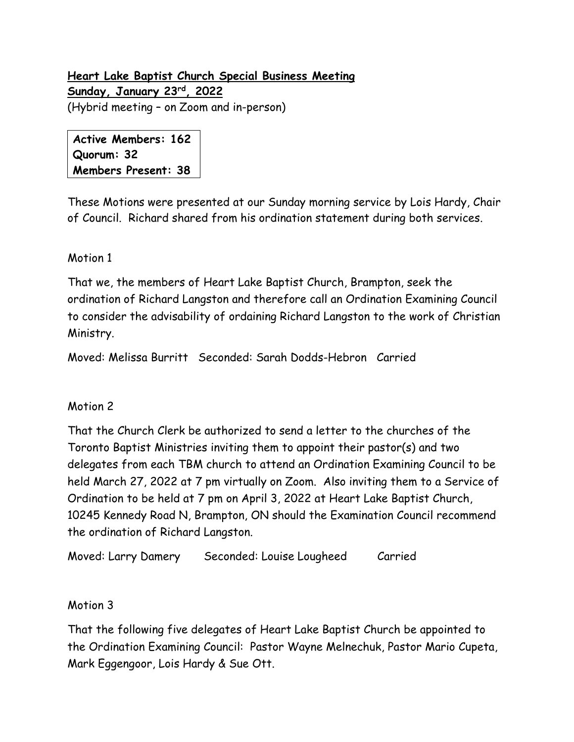## **Heart Lake Baptist Church Special Business Meeting Sunday, January 23rd, 2022** (Hybrid meeting – on Zoom and in-person)

**Active Members: 162 Quorum: 32 Members Present: 38**

These Motions were presented at our Sunday morning service by Lois Hardy, Chair of Council. Richard shared from his ordination statement during both services.

## Motion 1

That we, the members of Heart Lake Baptist Church, Brampton, seek the ordination of Richard Langston and therefore call an Ordination Examining Council to consider the advisability of ordaining Richard Langston to the work of Christian Ministry.

Moved: Melissa Burritt Seconded: Sarah Dodds-Hebron Carried

## Motion 2

That the Church Clerk be authorized to send a letter to the churches of the Toronto Baptist Ministries inviting them to appoint their pastor(s) and two delegates from each TBM church to attend an Ordination Examining Council to be held March 27, 2022 at 7 pm virtually on Zoom. Also inviting them to a Service of Ordination to be held at 7 pm on April 3, 2022 at Heart Lake Baptist Church, 10245 Kennedy Road N, Brampton, ON should the Examination Council recommend the ordination of Richard Langston.

Moved: Larry Damery Seconded: Louise Lougheed Carried

## Motion 3

That the following five delegates of Heart Lake Baptist Church be appointed to the Ordination Examining Council: Pastor Wayne Melnechuk, Pastor Mario Cupeta, Mark Eggengoor, Lois Hardy & Sue Ott.